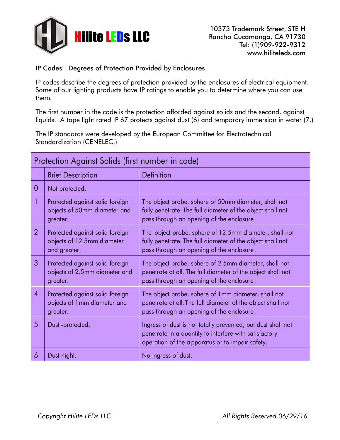

## IP Codes: Degrees of Protection Provided by Enclosures

IP codes describe the degrees of protection provided by the enclosures of electrical equipment. Some of our lighting products have IP ratings to enable you to determine where you can use them.

The first number in the code is the protection afforded against solids and the second, against liquids. A tape light rated IP 67 protects against dust (6) and temporary immersion in water (7.)

The IP standards were developed by the European Committee for Electrotechnical Standardization (CENELEC.)

| Protection Against Solids (first number in code) |                                                                               |                                                                                                                                                                           |  |
|--------------------------------------------------|-------------------------------------------------------------------------------|---------------------------------------------------------------------------------------------------------------------------------------------------------------------------|--|
|                                                  | <b>Brief Description</b>                                                      | Definition                                                                                                                                                                |  |
| $\overline{0}$                                   | Not protected.                                                                |                                                                                                                                                                           |  |
|                                                  | Protected against solid foreign<br>objects of 50mm diameter and<br>greater.   | The object probe, sphere of 50mm diameter, shall not<br>fully penetrate. The full diameter of the object shall not<br>pass through an opening of the enclosure.           |  |
| $\overline{2}$                                   | Protected against solid foreign<br>objects of 12.5mm diameter<br>and greater. | The object probe, sphere of 12.5mm diameter, shall not<br>fully penetrate. The full diameter of the object shall not<br>pass through an opening of the enclosure.         |  |
| 3                                                | Protected against solid foreign<br>objects of 2.5mm diameter and<br>greater.  | The object probe, sphere of 2.5mm diameter, shall not<br>penetrate at all. The full diameter of the object shall not<br>pass through an opening of the enclosure.         |  |
| $\overline{4}$                                   | Protected against solid foreign<br>objects of 1mm diameter and<br>greater.    | The object probe, sphere of 1mm diameter, shall not<br>penetrate at all. The full diameter of the object shall not<br>pass through an opening of the enclosure.           |  |
| 5                                                | Dust-protected.                                                               | Ingress of dust is not totally prevented, but dust shall not<br>penetrate in a quantity to interfere with satisfactory<br>operation of the apparatus or to impair safety. |  |
| 6                                                | Dust -tight.                                                                  | No ingress of dust.                                                                                                                                                       |  |